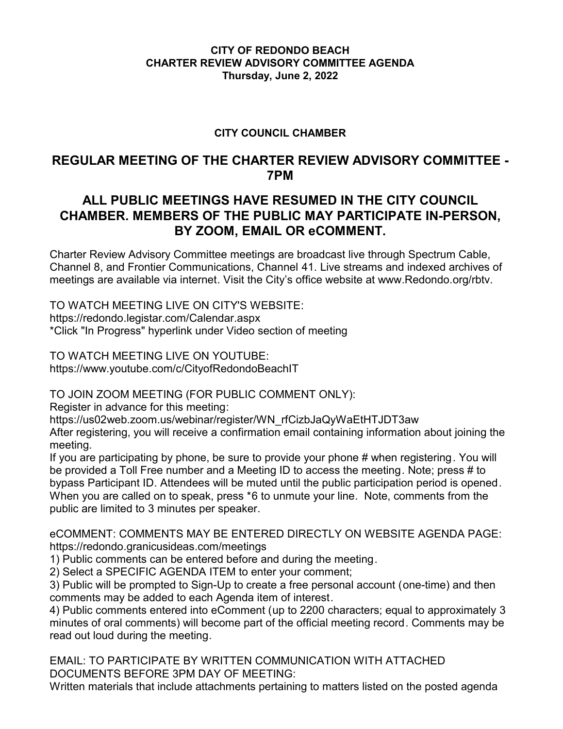### **CITY OF REDONDO BEACH CHARTER REVIEW ADVISORY COMMITTEE AGENDA Thursday, June 2, 2022**

## **CITY COUNCIL CHAMBER**

# **REGULAR MEETING OF THE CHARTER REVIEW ADVISORY COMMITTEE - 7PM**

# **ALL PUBLIC MEETINGS HAVE RESUMED IN THE CITY COUNCIL CHAMBER. MEMBERS OF THE PUBLIC MAY PARTICIPATE IN-PERSON, BY ZOOM, EMAIL OR eCOMMENT.**

Charter Review Advisory Committee meetings are broadcast live through Spectrum Cable, Channel 8, and Frontier Communications, Channel 41. Live streams and indexed archives of meetings are available via internet. Visit the City's office website at www.Redondo.org/rbtv.

TO WATCH MEETING LIVE ON CITY'S WEBSITE: https://redondo.legistar.com/Calendar.aspx \*Click "In Progress" hyperlink under Video section of meeting

TO WATCH MEETING LIVE ON YOUTUBE: https://www.youtube.com/c/CityofRedondoBeachIT

TO JOIN ZOOM MEETING (FOR PUBLIC COMMENT ONLY):

Register in advance for this meeting:

https://us02web.zoom.us/webinar/register/WN\_rfCizbJaQyWaEtHTJDT3aw

After registering, you will receive a confirmation email containing information about joining the meeting.

If you are participating by phone, be sure to provide your phone # when registering. You will be provided a Toll Free number and a Meeting ID to access the meeting. Note; press # to bypass Participant ID. Attendees will be muted until the public participation period is opened. When you are called on to speak, press \*6 to unmute your line. Note, comments from the public are limited to 3 minutes per speaker.

eCOMMENT: COMMENTS MAY BE ENTERED DIRECTLY ON WEBSITE AGENDA PAGE: https://redondo.granicusideas.com/meetings

1) Public comments can be entered before and during the meeting.

2) Select a SPECIFIC AGENDA ITEM to enter your comment;

3) Public will be prompted to Sign-Up to create a free personal account (one-time) and then comments may be added to each Agenda item of interest.

4) Public comments entered into eComment (up to 2200 characters; equal to approximately 3 minutes of oral comments) will become part of the official meeting record. Comments may be read out loud during the meeting.

EMAIL: TO PARTICIPATE BY WRITTEN COMMUNICATION WITH ATTACHED DOCUMENTS BEFORE 3PM DAY OF MEETING:

Written materials that include attachments pertaining to matters listed on the posted agenda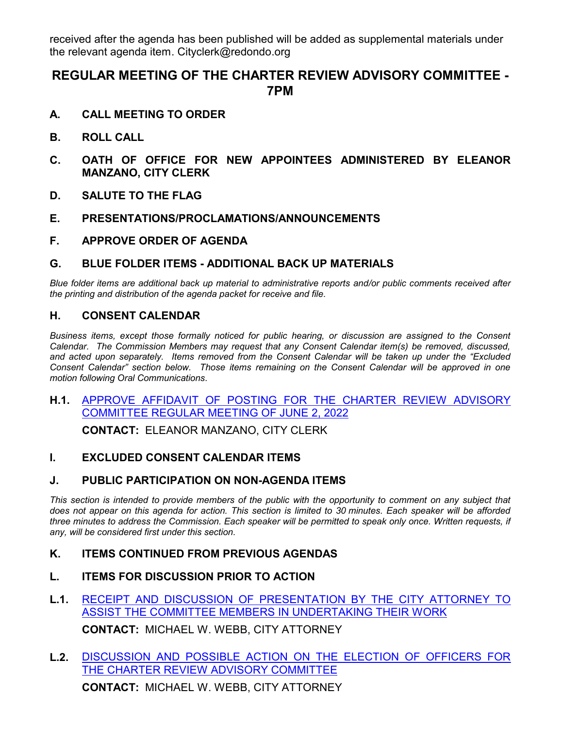received after the agenda has been published will be added as supplemental materials under the relevant agenda item. Cityclerk@redondo.org

# **REGULAR MEETING OF THE CHARTER REVIEW ADVISORY COMMITTEE - 7PM**

- **A. CALL MEETING TO ORDER**
- **B. ROLL CALL**
- **C. OATH OF OFFICE FOR NEW APPOINTEES ADMINISTERED BY ELEANOR MANZANO, CITY CLERK**
- **D. SALUTE TO THE FLAG**
- **E. PRESENTATIONS/PROCLAMATIONS/ANNOUNCEMENTS**
- **F. APPROVE ORDER OF AGENDA**
- **G. BLUE FOLDER ITEMS ADDITIONAL BACK UP MATERIALS**

*Blue folder items are additional back up material to administrative reports and/or public comments received after the printing and distribution of the agenda packet for receive and file.*

#### **H. CONSENT CALENDAR**

*Business items, except those formally noticed for public hearing, or discussion are assigned to the Consent Calendar. The Commission Members may request that any Consent Calendar item(s) be removed, discussed, and acted upon separately. Items removed from the Consent Calendar will be taken up under the "Excluded Consent Calendar" section below. Those items remaining on the Consent Calendar will be approved in one motion following Oral Communications.*

**H.1.** [APPROVE AFFIDAVIT OF POSTING FOR THE CHARTER REVIEW ADVISORY](http://redondo.legistar.com/gateway.aspx?m=l&id=/matter.aspx?key=5785) COMMITTEE REGULAR MEETING OF JUNE 2, 2022

**CONTACT:** ELEANOR MANZANO, CITY CLERK

#### **I. EXCLUDED CONSENT CALENDAR ITEMS**

#### **J. PUBLIC PARTICIPATION ON NON-AGENDA ITEMS**

This section is intended to provide members of the public with the opportunity to comment on any subject that *does not appear on this agenda for action. This section is limited to 30 minutes. Each speaker will be afforded three minutes to address the Commission. Each speaker will be permitted to speak only once. Written requests, if any, will be considered first under this section.*

#### **K. ITEMS CONTINUED FROM PREVIOUS AGENDAS**

- **L. ITEMS FOR DISCUSSION PRIOR TO ACTION**
- **L.1.** [RECEIPT AND DISCUSSION OF PRESENTATION BY THE CITY ATTORNEY TO](http://redondo.legistar.com/gateway.aspx?m=l&id=/matter.aspx?key=5795) ASSIST THE COMMITTEE MEMBERS IN UNDERTAKING THEIR WORK

**CONTACT:** MICHAEL W. WEBB, CITY ATTORNEY

**L.2.** [DISCUSSION AND POSSIBLE ACTION ON THE ELECTION OF OFFICERS FOR](http://redondo.legistar.com/gateway.aspx?m=l&id=/matter.aspx?key=5786) THE CHARTER REVIEW ADVISORY COMMITTEE **CONTACT:** MICHAEL W. WEBB, CITY ATTORNEY